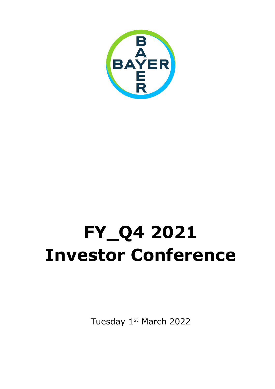

# **FY\_Q4 2021 Investor Conference**

Tuesday 1st March 2022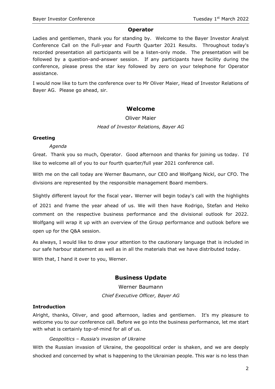#### **Operator**

Ladies and gentlemen, thank you for standing by. Welcome to the Bayer Investor Analyst Conference Call on the Full-year and Fourth Quarter 2021 Results. Throughout today's recorded presentation all participants will be a listen-only mode. The presentation will be followed by a question-and-answer session. If any participants have facility during the conference, please press the star key followed by zero on your telephone for Operator assistance.

I would now like to turn the conference over to Mr Oliver Maier, Head of Investor Relations of Bayer AG. Please go ahead, sir.

## **Welcome**

## Oliver Maier *Head of Investor Relations, Bayer AG*

#### **Greeting**

#### *Agenda*

Great. Thank you so much, Operator. Good afternoon and thanks for joining us today. I'd like to welcome all of you to our fourth quarter/full year 2021 conference call.

With me on the call today are Werner Baumann, our CEO and Wolfgang Nickl, our CFO. The divisions are represented by the responsible management Board members.

Slightly different layout for the fiscal year. Werner will begin today's call with the highlights

of 2021 and frame the year ahead of us. We will then have Rodrigo, Stefan and Heiko comment on the respective business performance and the divisional outlook for 2022. Wolfgang will wrap it up with an overview of the Group performance and outlook before we open up for the Q&A session.

As always, I would like to draw your attention to the cautionary language that is included in our [safe harbour](#page-22-0) statement as well as in all the materials that we have distributed today.

With that, I hand it over to you, Werner.

## **Business Update**

Werner Baumann *Chief Executive Officer, Bayer AG*

### **Introduction**

Alright, thanks, Oliver, and good afternoon, ladies and gentlemen. It's my pleasure to welcome you to our conference call. Before we go into the business performance, let me start with what is certainly top-of-mind for all of us.

#### *Geopolitics – Russia's invasion of Ukraine*

With the Russian invasion of Ukraine, the geopolitical order is shaken, and we are deeply shocked and concerned by what is happening to the Ukrainian people. This war is no less than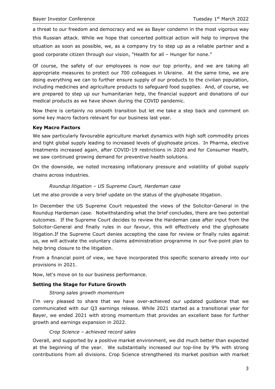a threat to our freedom and democracy and we as Bayer condemn in the most vigorous way this Russian attack. While we hope that concerted political action will help to improve the situation as soon as possible, we, as a company try to step up as a reliable partner and a good corporate citizen through our vision, "Health for all – Hunger for none."

Of course, the safety of our employees is now our top priority, and we are taking all appropriate measures to protect our 700 colleagues in Ukraine. At the same time, we are doing everything we can to further ensure supply of our products to the civilian population, including medicines and agriculture products to safeguard food supplies. And, of course, we are prepared to step up our humanitarian help, the financial support and donations of our medical products as we have shown during the COVID pandemic.

Now there is certainly no smooth transition but let me take a step back and comment on some key macro factors relevant for our business last year.

#### **Key Macro Factors**

We saw particularly favourable agriculture market dynamics with high soft commodity prices and tight global supply leading to increased levels of glyphosate prices. In Pharma, elective treatments increased again, after COVID-19 restrictions in 2020 and for Consumer Health, we saw continued growing demand for preventive health solutions.

On the downside, we noted increasing inflationary pressure and volatility of global supply chains across industries.

#### *Roundup litigation – US Supreme Court, Hardeman case*

Let me also provide a very brief update on the status of the glyphosate litigation.

In December the US Supreme Court requested the views of the Solicitor-General in the Roundup Hardeman case. Notwithstanding what the brief concludes, there are two potential outcomes. If the Supreme Court decides to review the Hardeman case after input from the Solicitor-General and finally rules in our favour, this will effectively end the glyphosate litigation.If the Supreme Court denies accepting the case for review or finally rules against us, we will activate the voluntary claims administration programme in our five-point plan to help bring closure to the litigation.

From a financial point of view, we have incorporated this specific scenario already into our provisions in 2021.

Now, let's move on to our business performance.

#### **Setting the Stage for Future Growth**

#### *Strong sales growth momentum*

I'm very pleased to share that we have over-achieved our updated guidance that we communicated with our Q3 earnings release. While 2021 started as a transitional year for Bayer, we ended 2021 with strong momentum that provides an excellent base for further growth and earnings expansion in 2022.

#### *Crop Science – achieved record sales*

Overall, and supported by a positive market environment, we did much better than expected at the beginning of the year. We substantially increased our top-line by 9% with strong contributions from all divisions. Crop Science strengthened its market position with market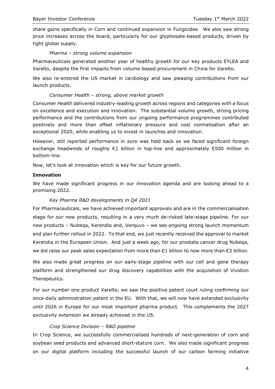share gains specifically in Corn and continued expansion in Fungicides. We also saw strong price increases across the board, particularly for our glyphosate-based products, driven by tight global supply.

#### *Pharma – strong volume expansion*

Pharmaceuticals generated another year of healthy growth for our key products EYLEA and Xarelto, despite the first impacts from volume-based procurement in China for Xarelto.

We also re-entered the US market in cardiology and saw pleasing contributions from our launch products.

#### *Consumer Health – strong, above market growth*

Consumer Health delivered industry-leading growth across regions and categories with a focus on excellence and execution and innovation. The substantial volume growth, strong pricing performance and the contributions from our ongoing performance programmes contributed positively and more than offset inflationary pressure and cost normalisation after an exceptional 2020, while enabling us to invest in launches and innovation.

However, still reported performance in euro was held back as we faced significant foreign exchange headwinds of roughly €1 billion in top-line and approximately €500 million in bottom-line.

Now, let's look at innovation which is key for our future growth.

#### **Innovation**

We have made significant progress in our innovation agenda and are looking ahead to a promising 2022.

#### *Key Pharma R&D developments in Q4 2021*

For Pharmaceuticals, we have achieved important approvals and are in the commercialisation stage for our new products, resulting in a very much de-risked late-stage pipeline. For our new products – Nubeqa, Kerendia and, Verquvo – we see ongoing strong launch momentum and plan further rollout in 2022. To that end, we just recently received the approval to market Kerendia in the European Union. And just a week ago, for our prostate cancer drug Nubeqa, we did raise our peak sales expectation from more than €1 billion to now more than €3 billion.

We also made great progress on our early-stage pipeline with our cell and gene therapy platform and strengthened our drug discovery capabilities with the acquisition of Vividion Therapeutics.

For our number one product Xarelto, we saw the positive patent court ruling confirming our once-daily administration patent in the EU. With that, we will now have extended exclusivity until 2026 in Europe for our most important pharma product. This complements the 2027 exclusivity extension we already achieved in the US.

#### *Crop Science Division – R&D pipeline*

In Crop Science, we successfully commercialised hundreds of next-generation of corn and soybean seed products and advanced short-stature corn. We also made significant progress on our digital platform including the successful launch of our carbon farming initiative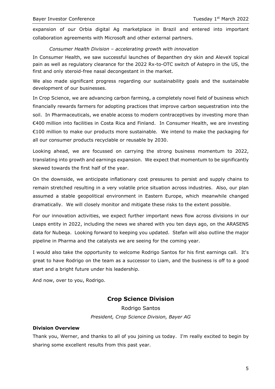expansion of our Orbia digital Ag marketplace in Brazil and entered into important collaboration agreements with Microsoft and other external partners.

#### *Consumer Health Division – accelerating growth with innovation*

In Consumer Health, we saw successful launches of Bepanthen dry skin and AleveX topical pain as well as regulatory clearance for the 2022 Rx-to-OTC switch of Astepro in the US, the first and only steroid-free nasal decongestant in the market.

We also made significant progress regarding our sustainability goals and the sustainable development of our businesses.

In Crop Science, we are advancing carbon farming, a completely novel field of business which financially rewards farmers for adopting practices that improve carbon sequestration into the soil. In Pharmaceuticals, we enable access to modern contraceptives by investing more than €400 million into facilities in Costa Rica and Finland. In Consumer Health, we are investing €100 million to make our products more sustainable. We intend to make the packaging for all our consumer products recyclable or reusable by 2030.

Looking ahead, we are focussed on carrying the strong business momentum to 2022, translating into growth and earnings expansion. We expect that momentum to be significantly skewed towards the first half of the year.

On the downside, we anticipate inflationary cost pressures to persist and supply chains to remain stretched resulting in a very volatile price situation across industries. Also, our plan assumed a stable geopolitical environment in Eastern Europe, which meanwhile changed dramatically. We will closely monitor and mitigate these risks to the extent possible.

For our innovation activities, we expect further important news flow across divisions in our Leaps entity in 2022, including the news we shared with you ten days ago, on the ARASENS data for Nubeqa. Looking forward to keeping you updated. Stefan will also outline the major pipeline in Pharma and the catalysts we are seeing for the coming year.

I would also take the opportunity to welcome Rodrigo Santos for his first earnings call. It's great to have Rodrigo on the team as a successor to Liam, and the business is off to a good start and a bright future under his leadership.

And now, over to you, Rodrigo.

## **Crop Science Division**

Rodrigo Santos *President, Crop Science Division, Bayer AG*

#### **Division Overview**

Thank you, Werner, and thanks to all of you joining us today. I'm really excited to begin by sharing some excellent results from this past year.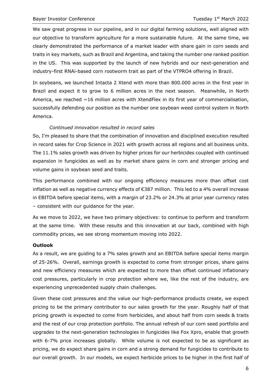We saw great progress in our pipeline, and in our digital farming solutions, well aligned with our objective to transform agriculture for a more sustainable future. At the same time, we clearly demonstrated the performance of a market leader with share gain in corn seeds and traits in key markets, such as Brazil and Argentina, and taking the number one ranked position in the US. This was supported by the launch of new hybrids and our next-generation and industry-first RNAi-based corn rootworm trait as part of the VTPRO4 offering in Brazil.

In soybeans, we launched Intacta 2 Xtend with more than 800.000 acres in the first year in Brazil and expect it to grow to 6 million acres in the next season. Meanwhile, in North America, we reached  $\sim$ 16 million acres with XtendFlex in its first year of commercialisation, successfully defending our position as the number one soybean weed control system in North America.

#### *Continued innovation resulted in record sales*

So, I'm pleased to share that the combination of innovation and disciplined execution resulted in record sales for Crop Science in 2021 with growth across all regions and all business units. The 11.1% sales growth was driven by higher prices for our herbicides coupled with continued expansion in fungicides as well as by market share gains in corn and stronger pricing and volume gains in soybean seed and traits.

This performance combined with our ongoing efficiency measures more than offset cost inflation as well as negative currency effects of €387 million. This led to a 4% overall increase in EBITDA before special items, with a margin of 23.2% or 24.3% at prior year currency rates – consistent with our guidance for the year.

As we move to 2022, we have two primary objectives: to continue to perform and transform at the same time. With these results and this innovation at our back, combined with high commodity prices, we see strong momentum moving into 2022.

#### **Outlook**

As a result, we are guiding to a 7% sales growth and an EBITDA before special items margin of 25-26%. Overall, earnings growth is expected to come from stronger prices, share gains and new efficiency measures which are expected to more than offset continued inflationary cost pressures, particularly in crop protection where we, like the rest of the industry, are experiencing unprecedented supply chain challenges.

Given these cost pressures and the value our high-performance products create, we expect pricing to be the primary contributor to our sales growth for the year. Roughly half of that pricing growth is expected to come from herbicides, and about half from corn seeds & traits and the rest of our crop protection portfolio. The annual refresh of our corn seed portfolio and upgrades to the next-generation technologies in fungicides like Fox Xpro, enable that growth with 6-7% price increases globally. While volume is not expected to be as significant as pricing, we do expect share gains in corn and a strong demand for fungicides to contribute to our overall growth. In our models, we expect herbicide prices to be higher in the first half of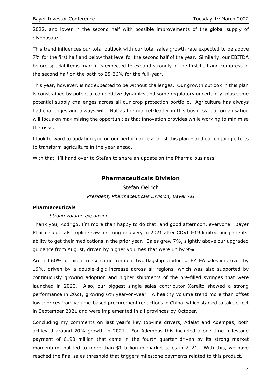2022, and lower in the second half with possible improvements of the global supply of glyphosate.

This trend influences our total outlook with our total sales growth rate expected to be above 7% for the first half and below that level for the second half of the year. Similarly, our EBITDA before special items margin is expected to expand strongly in the first half and compress in the second half on the path to 25-26% for the full-year.

This year, however, is not expected to be without challenges. Our growth outlook in this plan is constrained by potential competitive dynamics and some regulatory uncertainty, plus some potential supply challenges across all our crop protection portfolio. Agriculture has always had challenges and always will. But as the market-leader in this business, our organisation will focus on maximising the opportunities that innovation provides while working to minimise the risks.

I look forward to updating you on our performance against this plan – and our ongoing efforts to transform agriculture in the year ahead.

With that, I'll hand over to Stefan to share an update on the Pharma business.

## **Pharmaceuticals Division**

Stefan Oelrich *President, Pharmaceuticals Division, Bayer AG*

#### **Pharmaceuticals**

#### *Strong volume expansion*

Thank you, Rodrigo, I'm more than happy to do that, and good afternoon, everyone. Bayer Pharmaceuticals' topline saw a strong recovery in 2021 after COVID-19 limited our patients' ability to get their medications in the prior year. Sales grew 7%, slightly above our upgraded guidance from August, driven by higher volumes that were up by 9%.

Around 60% of this increase came from our two flagship products. EYLEA sales improved by 19%, driven by a double-digit increase across all regions, which was also supported by continuously growing adoption and higher shipments of the pre-filled syringes that were launched in 2020. Also, our biggest single sales contributor Xarelto showed a strong performance in 2021, growing 6% year-on-year. A healthy volume trend more than offset lower prices from volume-based procurement reductions in China, which started to take effect in September 2021 and were implemented in all provinces by October.

Concluding my comments on last year's key top-line drivers, Adalat and Adempas, both achieved around 20% growth in 2021. For Adempas this included a one-time milestone payment of €190 million that came in the fourth quarter driven by its strong market momentum that led to more than \$1 billion in market sales in 2021. With this, we have reached the final sales threshold that triggers milestone payments related to this product.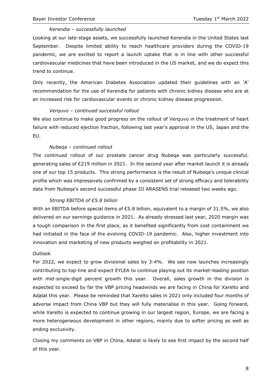#### *Kerendia – successfully launched*

Looking at our late-stage assets, we successfully launched Kerendia in the United States last September. Despite limited ability to reach healthcare providers during the COVID-19 pandemic, we are excited to report a launch uptake that is in line with other successful cardiovascular medicines that have been introduced in the US market, and we do expect this trend to continue.

Only recently, the American Diabetes Association updated their guidelines with an 'A' recommendation for the use of Kerendia for patients with chronic kidney disease who are at an increased risk for cardiovascular events or chronic kidney disease progression.

#### *Verquvo – continued successful rollout*

We also continue to make good progress on the rollout of Verquvo in the treatment of heart failure with reduced ejection fraction, following last year's approval in the US, Japan and the EU.

#### *Nubeqa – continued rollout*

The continued rollout of our prostate cancer drug Nubeqa was particularly successful, generating sales of €219 million in 2021. In the second year after market launch it is already one of our top 15 products. This strong performance is the result of Nubeqa's unique clinical profile which was impressively confirmed by a consistent set of strong efficacy and tolerability data from Nubeqa's second successful phase III ARASENS trial released two weeks ago.

#### *Strong EBITDA of €5.8 billion*

With an EBITDA before special items of  $\epsilon$ 5.8 billion, equivalent to a margin of 31.5%, we also delivered on our earnings guidance in 2021. As already stressed last year, 2020 margin was a tough comparison in the first place, as it benefited significantly from cost containment we had initiated in the face of the evolving COVID-19 pandemic. Also, higher investment into innovation and marketing of new products weighed on profitability in 2021.

#### **Outlook**

For 2022, we expect to grow divisional sales by 3-4%. We see new launches increasingly contributing to top-line and expect EYLEA to continue playing out its market-leading position with mid-single-digit percent growth this year. Overall, sales growth in the division is expected to exceed by far the VBP pricing headwinds we are facing in China for Xarelto and Adalat this year. Please be reminded that Xarelto sales in 2021 only included four months of adverse impact from China VBP but they will fully materialise in this year. Going forward, while Xarelto is expected to continue growing in our largest region, Europe, we are facing a more heterogeneous development in other regions, mainly due to softer pricing as well as ending exclusivity.

Closing my comments on VBP in China, Adalat is likely to see first impact by the second half of this year.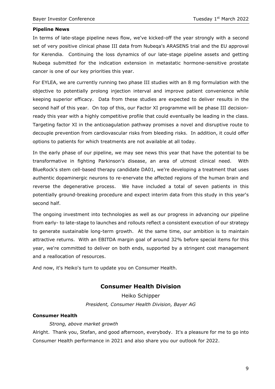#### **Pipeline News**

In terms of late-stage pipeline news flow, we've kicked-off the year strongly with a second set of very positive clinical phase III data from Nubeqa's ARASENS trial and the EU approval for Kerendia. Continuing the loss dynamics of our late-stage pipeline assets and getting Nubeqa submitted for the indication extension in metastatic hormone-sensitive prostate cancer is one of our key priorities this year.

For EYLEA, we are currently running two phase III studies with an 8 mg formulation with the objective to potentially prolong injection interval and improve patient convenience while keeping superior efficacy. Data from these studies are expected to deliver results in the second half of this year. On top of this, our Factor XI programme will be phase III decisionready this year with a highly competitive profile that could eventually be leading in the class. Targeting factor XI in the anticoagulation pathway promises a novel and disruptive route to decouple prevention from cardiovascular risks from bleeding risks. In addition, it could offer options to patients for which treatments are not available at all today.

In the early phase of our pipeline, we may see news this year that have the potential to be transformative in fighting Parkinson's disease, an area of utmost clinical need. With BlueRock's stem cell-based therapy candidate DA01, we're developing a treatment that uses authentic dopaminergic neurons to re-enervate the affected regions of the human brain and reverse the degenerative process. We have included a total of seven patients in this potentially ground-breaking procedure and expect interim data from this study in this year's second half.

The ongoing investment into technologies as well as our progress in advancing our pipeline from early- to late-stage to launches and rollouts reflect a consistent execution of our strategy to generate sustainable long-term growth. At the same time, our ambition is to maintain attractive returns. With an EBITDA margin goal of around 32% before special items for this year, we're committed to deliver on both ends, supported by a stringent cost management and a reallocation of resources.

And now, it's Heiko's turn to update you on Consumer Health.

## **Consumer Health Division**

Heiko Schipper *President, Consumer Health Division, Bayer AG*

#### **Consumer Health**

*Strong, above market growth*

Alright. Thank you, Stefan, and good afternoon, everybody. It's a pleasure for me to go into Consumer Health performance in 2021 and also share you our outlook for 2022.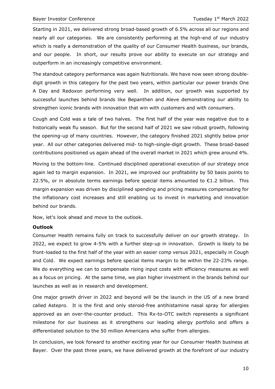Starting in 2021, we delivered strong broad-based growth of 6.5% across all our regions and nearly all our categories. We are consistently performing at the high-end of our industry which is really a demonstration of the quality of our Consumer Health business, our brands, and our people. In short, our results prove our ability to execute on our strategy and outperform in an increasingly competitive environment.

The standout category performance was again Nutritionals. We have now seen strong doubledigit growth in this category for the past two years, within particular our power brands One A Day and Redoxon performing very well. In addition, our growth was supported by successful launches behind brands like Bepanthen and Aleve demonstrating our ability to strengthen iconic brands with innovation that win with customers and with consumers.

Cough and Cold was a tale of two halves. The first half of the year was negative due to a historically weak flu season. But for the second half of 2021 we saw robust growth, following the opening-up of many countries. However, the category finished 2021 slightly below prior year. All our other categories delivered mid- to high-single-digit growth. These broad-based contributions positioned us again ahead of the overall market in 2021 which grew around 4%.

Moving to the bottom-line. Continued disciplined operational execution of our strategy once again led to margin expansion. In 2021, we improved our profitability by 50 basis points to 22.5%, or in absolute terms earnings before special items amounted to  $E1.2$  billion. This margin expansion was driven by disciplined spending and pricing measures compensating for the inflationary cost increases and still enabling us to invest in marketing and innovation behind our brands.

Now, let's look ahead and move to the outlook.

#### **Outlook**

Consumer Health remains fully on track to successfully deliver on our growth strategy. In 2022, we expect to grow 4-5% with a further step-up in innovation. Growth is likely to be front-loaded to the first half of the year with an easier comp versus 2021, especially in Cough and Cold. We expect earnings before special items margin to be within the 22-23% range. We do everything we can to compensate rising input costs with efficiency measures as well as a focus on pricing. At the same time, we plan higher investment in the brands behind our launches as well as in research and development.

One major growth driver in 2022 and beyond will be the launch in the US of a new brand called Astepro. It is the first and only steroid-free antihistamine nasal spray for allergies approved as an over-the-counter product. This Rx-to-OTC switch represents a significant milestone for our business as it strengthens our leading allergy portfolio and offers a differentiated solution to the 50 million Americans who suffer from allergies.

In conclusion, we look forward to another exciting year for our Consumer Health business at Bayer. Over the past three years, we have delivered growth at the forefront of our industry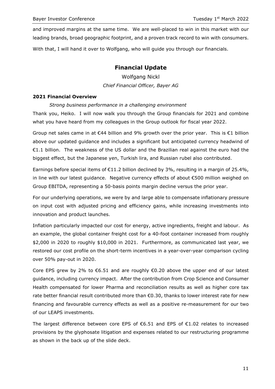and improved margins at the same time. We are well-placed to win in this market with our leading brands, broad geographic footprint, and a proven track record to win with consumers. With that, I will hand it over to Wolfgang, who will guide you through our financials.

## **Financial Update**

Wolfgang Nickl *Chief Financial Officer, Bayer AG*

#### **2021 Financial Overview**

#### *Strong business performance in a challenging environment*

Thank you, Heiko. I will now walk you through the Group financials for 2021 and combine what you have heard from my colleagues in the Group outlook for fiscal year 2022.

Group net sales came in at €44 billion and 9% growth over the prior year. This is €1 billion above our updated guidance and includes a significant but anticipated currency headwind of €1.1 billion. The weakness of the US dollar and the Brazilian real against the euro had the biggest effect, but the Japanese yen, Turkish lira, and Russian rubel also contributed.

Earnings before special items of  $E11.2$  billion declined by 3%, resulting in a margin of 25.4%, in line with our latest guidance. Negative currency effects of about €500 million weighed on Group EBITDA, representing a 50-basis points margin decline versus the prior year.

For our underlying operations, we were by and large able to compensate inflationary pressure on input cost with adjusted pricing and efficiency gains, while increasing investments into innovation and product launches.

Inflation particularly impacted our cost for energy, active ingredients, freight and labour. As an example, the global container freight cost for a 40-foot container increased from roughly \$2,000 in 2020 to roughly \$10,000 in 2021. Furthermore, as communicated last year, we restored our cost profile on the short-term incentives in a year-over-year comparison cycling over 50% pay-out in 2020.

Core EPS grew by 2% to  $\epsilon$ 6.51 and are roughly  $\epsilon$ 0.20 above the upper end of our latest guidance, including currency impact. After the contribution from Crop Science and Consumer Health compensated for lower Pharma and reconciliation results as well as higher core tax rate better financial result contributed more than €0.30, thanks to lower interest rate for new financing and favourable currency effects as well as a positive re-measurement for our two of our LEAPS investments.

The largest difference between core EPS of  $\epsilon$ 6.51 and EPS of  $\epsilon$ 1.02 relates to increased provisions by the glyphosate litigation and expenses related to our restructuring programme as shown in the back up of the slide deck.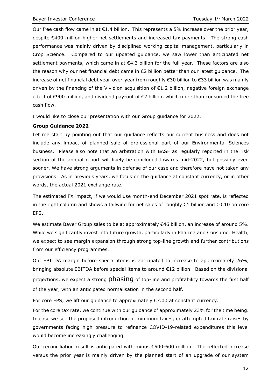Our free cash flow came in at  $E1.4$  billion. This represents a 5% increase over the prior year, despite €400 million higher net settlements and increased tax payments. The strong cash performance was mainly driven by disciplined working capital management, particularly in Crop Science. Compared to our updated guidance, we saw lower than anticipated net settlement payments, which came in at €4.3 billion for the full-year. These factors are also the reason why our net financial debt came in €2 billion better than our latest guidance. The increase of net financial debt year-over-year from roughly €30 billion to €33 billion was mainly driven by the financing of the Vividion acquisition of €1.2 billion, negative foreign exchange effect of €900 million, and dividend pay-out of €2 billion, which more than consumed the free cash flow.

I would like to close our presentation with our Group guidance for 2022.

#### **Group Guidance 2022**

Let me start by pointing out that our guidance reflects our current business and does not include any impact of planned sale of professional part of our Environmental Sciences business. Please also note that an arbitration with BASF as regularly reported in the risk section of the annual report will likely be concluded towards mid-2022, but possibly even sooner. We have strong arguments in defense of our case and therefore have not taken any provisions. As in previous years, we focus on the guidance at constant currency, or in other words, the actual 2021 exchange rate.

The estimated FX impact, if we would use month-end December 2021 spot rate, is reflected in the right column and shows a tailwind for net sales of roughly €1 billion and €0.10 on core EPS.

We estimate Bayer Group sales to be at approximately €46 billion, an increase of around 5%. While we significantly invest into future growth, particularly in Pharma and Consumer Health, we expect to see margin expansion through strong top-line growth and further contributions from our efficiency programmes.

Our EBITDA margin before special items is anticipated to increase to approximately 26%, bringing absolute EBITDA before special items to around €12 billion. Based on the divisional projections, we expect a strong phasing of top-line and profitability towards the first half of the year, with an anticipated normalisation in the second half.

For core EPS, we lift our guidance to approximately  $\epsilon$ 7.00 at constant currency.

For the core tax rate, we continue with our guidance of approximately 23% for the time being. In case we see the proposed introduction of minimum taxes, or attempted tax rate raises by governments facing high pressure to refinance COVID-19-related expenditures this level would become increasingly challenging.

Our reconciliation result is anticipated with minus €500-600 million. The reflected increase versus the prior year is mainly driven by the planned start of an upgrade of our system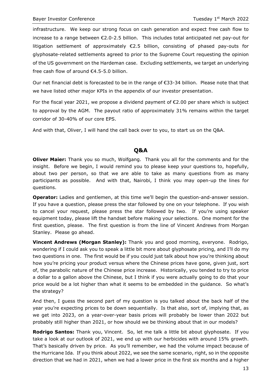infrastructure. We keep our strong focus on cash generation and expect free cash flow to increase to a range between €2.0-2.5 billion. This includes total anticipated net pay-out for litigation settlement of approximately €2.5 billion, consisting of phased pay-outs for glyphosate-related settlements agreed to prior to the Supreme Court requesting the opinion of the US government on the Hardeman case. Excluding settlements, we target an underlying free cash flow of around €4.5-5.0 billion.

Our net financial debt is forecasted to be in the range of €33-34 billion. Please note that that we have listed other major KPIs in the appendix of our investor presentation.

For the fiscal year 2021, we propose a dividend payment of €2.00 per share which is subject to approval by the AGM. The payout ratio of approximately 31% remains within the target corridor of 30-40% of our core EPS.

And with that, Oliver, I will hand the call back over to you, to start us on the Q&A.

## **Q&A**

**Oliver Maier:** Thank you so much, Wolfgang. Thank you all for the comments and for the insight. Before we begin, I would remind you to please keep your questions to, hopefully, about two per person, so that we are able to take as many questions from as many participants as possible. And with that, Nairobi, I think you may open-up the lines for questions.

**Operator:** Ladies and gentlemen, at this time we'll begin the question-and-answer session. If you have a question, please press the star followed by one on your telephone. If you wish to cancel your request, please press the star followed by two. If you're using speaker equipment today, please lift the handset before making your selections. One moment for the first question, please. The first question is from the line of Vincent Andrews from Morgan Stanley. Please go ahead.

**Vincent Andrews (Morgan Stanley):** Thank you and good morning, everyone. Rodrigo, wondering if I could ask you to speak a little bit more about glyphosate pricing, and I'll do my two questions in one. The first would be if you could just talk about how you're thinking about how you're pricing your product versus where the Chinese prices have gone, given just, sort of, the parabolic nature of the Chinese price increase. Historically, you tended to try to price a dollar to a gallon above the Chinese, but I think if you were actually going to do that your price would be a lot higher than what it seems to be embedded in the guidance. So what's the strategy?

And then, I guess the second part of my question is you talked about the back half of the year you're expecting prices to be down sequentially. Is that also, sort of, implying that, as we get into 2023, on a year-over-year basis prices will probably be lower than 2022 but probably still higher than 2021, or how should we be thinking about that in our models?

**Rodrigo Santos:** Thank you, Vincent. So, let me talk a little bit about glyphosate. If you take a look at our outlook of 2021, we end up with our herbicides with around 15% growth. That's basically driven by price. As you'll remember, we had the volume impact because of the Hurricane Ida. If you think about 2022, we see the same scenario, right, so in the opposite direction that we had in 2021, when we had a lower price in the first six months and a higher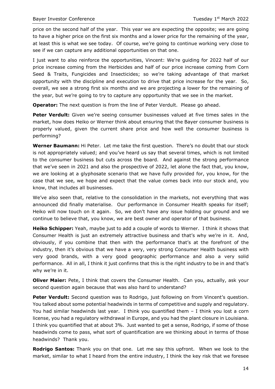price on the second half of the year. This year we are expecting the opposite; we are going to have a higher price on the first six months and a lower price for the remaining of the year, at least this is what we see today. Of course, we're going to continue working very close to see if we can capture any additional opportunities on that one.

I just want to also reinforce the opportunities, Vincent: We're guiding for 2022 half of our price increase coming from the Herbicides and half of our price increase coming from Corn Seed & Traits, Fungicides and Insecticides; so we're taking advantage of that market opportunity with the discipline and execution to drive that price increase for the year. So, overall, we see a strong first six months and we are projecting a lower for the remaining of the year, but we're going to try to capture any opportunity that we see in the market.

**Operator:** The next question is from the line of Peter Verdult. Please go ahead.

**Peter Verdult:** Given we're seeing consumer businesses valued at five times sales in the market, how does Heiko or Werner think about ensuring that the Bayer consumer business is properly valued, given the current share price and how well the consumer business is performing?

**Werner Baumann:** Hi Peter. Let me take the first question. There's no doubt that our stock is not appropriately valued; and you've heard us say that several times, which is not limited to the consumer business but cuts across the board. And against the strong performance that we've seen in 2021 and also the prospective of 2022, let alone the fact that, you know, we are looking at a glyphosate scenario that we have fully provided for, you know, for the case that we see, we hope and expect that the value comes back into our stock and, you know, that includes all businesses.

We've also seen that, relative to the consolidation in the markets, not everything that was announced did finally materialise. Our performance in Consumer Health speaks for itself; Heiko will now touch on it again. So, we don't have any issue holding our ground and we continue to believe that, you know, we are best owner and operator of that business.

**Heiko Schipper:** Yeah, maybe just to add a couple of words to Werner. I think it shows that Consumer Health is just an extremely attractive business and that's why we're in it. And, obviously, if you combine that then with the performance that's at the forefront of the industry, then it's obvious that we have a very, very strong Consumer Health business with very good brands, with a very good geographic performance and also a very solid performance. All in all, I think it just confirms that this is the right industry to be in and that's why we're in it.

**Oliver Maier:** Pete, I think that covers the Consumer Health. Can you, actually, ask your second question again because that was also hard to understand?

**Peter Verdult:** Second question was to Rodrigo, just following on from Vincent's question. You talked about some potential headwinds in terms of competitive and supply and regulatory. You had similar headwinds last year. I think you quantified them - I think you lost a corn license, you had a regulatory withdrawal in Europe, and you had the plant closure in Louisiana. I think you quantified that at about 3%. Just wanted to get a sense, Rodrigo, if some of those headwinds come to pass, what sort of quantification are we thinking about in terms of those headwinds? Thank you.

**Rodrigo Santos:** Thank you on that one. Let me say this upfront. When we look to the market, similar to what I heard from the entire industry, I think the key risk that we foresee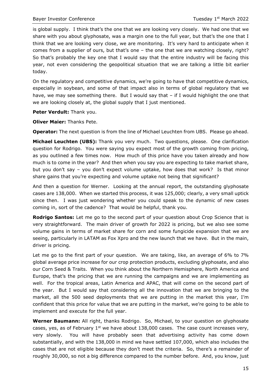is global supply. I think that's the one that we are looking very closely. We had one that we share with you about glyphosate, was a margin one to the full year, but that's the one that I think that we are looking very close, we are monitoring. It's very hard to anticipate when it comes from a supplier of ours, but that's one – the one that we are watching closely, right? So that's probably the key one that I would say that the entire industry will be facing this year, not even considering the geopolitical situation that we are talking a little bit earlier today.

On the regulatory and competitive dynamics, we're going to have that competitive dynamics, especially in soybean, and some of that impact also in terms of global regulatory that we have, we may see something there. But I would say that - if I would highlight the one that we are looking closely at, the global supply that I just mentioned.

**Peter Verdult:** Thank you.

**Oliver Maier:** Thanks Pete.

**Operator:** The next question is from the line of Michael Leuchten from UBS. Please go ahead.

**Michael Leuchten (UBS):** Thank you very much. Two questions, please. One clarification question for Rodrigo. You were saying you expect most of the growth coming from pricing, as you outlined a few times now. How much of this price have you taken already and how much is to come in the year? And then when you say you are expecting to take market share, but you don't say – you don't expect volume uptake, how does that work? Is that minor share gains that you're expecting and volume uptake not being that significant?

And then a question for Werner. Looking at the annual report, the outstanding glyphosate cases are 138,000. When we started this process, it was 125,000; clearly, a very small uptick since then. I was just wondering whether you could speak to the dynamic of new cases coming in, sort of the cadence? That would be helpful, thank you.

**Rodrigo Santos:** Let me go to the second part of your question about Crop Science that is very straightforward. The main driver of growth for 2022 is pricing, but we also see some volume gains in terms of market share for corn and some fungicide expansion that we are seeing, particularly in LATAM as Fox Xpro and the new launch that we have. But in the main, driver is pricing.

Let me go to the first part of your question. We are taking, like, an average of 6% to 7% global average price increase for our crop protection products, excluding glyphosate, and also our Corn Seed & Traits. When you think about the Northern Hemisphere, North America and Europe, that's the pricing that we are running the campaigns and we are implementing as well. For the tropical areas, Latin America and APAC, that will come on the second part of the year. But I would say that considering all the innovation that we are bringing to the market, all the 500 seed deployments that we are putting in the market this year, I'm confident that this price for value that we are putting in the market, we're going to be able to implement and execute for the full year.

**Werner Baumann:** All right, thanks Rodrigo. So, Michael, to your question on glyphosate cases, yes, as of February  $1<sup>st</sup>$  we have about 138,000 cases. The case count increases very, very slowly. You will have probably seen that advertising activity has come down substantially, and with the 138,000 in mind we have settled 107,000, which also includes the cases that are not eligible because they don't meet the criteria. So, there's a remainder of roughly 30,000, so not a big difference compared to the number before. And, you know, just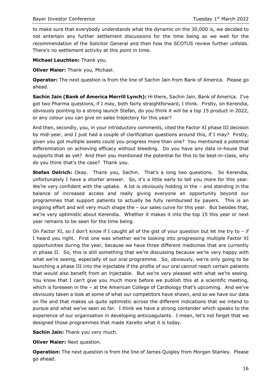to make sure that everybody understands what the dynamic on the 30,000 is, we decided to not entertain any further settlement discussions for the time being as we wait for the recommendation of the Solicitor General and then how the SCOTUS review further unfolds. There's no settlement activity at this point in time.

**Michael Leuchten:** Thank you.

**Oliver Maier:** Thank you, Michael.

**Operator:** The next question is from the line of Sachin Jain from Bank of America. Please go ahead.

**Sachin Jain (Bank of America Merrill Lynch):** Hi there, Sachin Jain, Bank of America. I've got two Pharma questions, if I may, both fairly straightforward, I think. Firstly, on Kerendia, obviously pointing to a strong launch Stefan, do you think it will be a top 15 product in 2022, or any colour you can give on sales trajectory for this year?

And then, secondly, you, in your introductory comments, cited the Factor XI phase III decision by mid-year, and I just had a couple of clarification questions around this, if I may? Firstly, given you got multiple assets could you progress more than one? You mentioned a potential differentiation on achieving efficacy without bleeding. Do you have any data in-house that supports that as yet? And then you mentioned the potential for this to be best-in-class, why do you think that's the case? Thank you.

**Stefan Oelrich:** Okay. Thank you, Sachin. That's a long two questions. So Kerendia, unfortunately I have a shorter answer. So, it's a little early to tell you more for this year. We're very confident with the uptake. A lot is obviously holding in the – and standing in the balance of increased access and really giving everyone an opportunity beyond our programmes that support patients to actually be fully reimbursed by payers. This is an ongoing effort and will very much shape the – our sales curve for this year. But besides that, we're very optimistic about Kerendia. Whether it makes it into the top 15 this year or next year remains to be seen for the time being.

On Factor XI, so I don't know if I caught all of the gist of your question but let me try to – if I heard you right. First one was whether we're looking into progressing multiple Factor XI opportunities during the year, because we have three different medicines that are currently in phase II. So, this is still something that we're discussing because we're very happy with what we're seeing, especially of our oral programme. So, obviously, we're only going to be launching a phase III into the injectable if the profile of our oral cannot reach certain patients that would also benefit from an injectable. But we're very pleased with what we're seeing. You know that I can't give you much more before we publish this at a scientific meeting, which is foreseen in the – at the American College of Cardiology that's upcoming. And we've obviously taken a look at some of what our competitors have shown, and so we have our data on file and that makes us quite optimistic across the different indications that we intend to pursue and what we've seen so far. I think we have a strong contender which speaks to the experience of our organisation in developing anticoagulants. I mean, let's not forget that we designed those programmes that made Xarelto what it is today.

**Sachin Jain:** Thank you very much.

**Oliver Maier:** Next question.

**Operation:** The next question is from the line of James Quigley from Morgan Stanley. Please go ahead.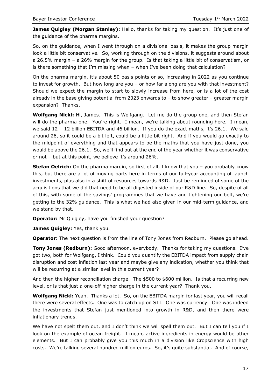**James Quigley (Morgan Stanley):** Hello, thanks for taking my question. It's just one of the guidance of the pharma margins.

So, on the guidance, when I went through on a divisional basis, it makes the group margin look a little bit conservative. So, working through on the divisions, it suggests around about a 26.5% margin – a 26% margin for the group. Is that taking a little bit of conservatism, or is there something that I'm missing when – when I've been doing that calculation?

On the pharma margin, it's about 50 basis points or so, increasing in 2022 as you continue to invest for growth. But how long are you – or how far along are you with that investment? Should we expect the margin to start to slowly increase from here, or is a lot of the cost already in the base giving potential from 2023 onwards to – to show greater – greater margin expansion? Thanks.

**Wolfgang Nickl:** Hi, James. This is Wolfgang. Let me do the group one, and then Stefan will do the pharma one. You're right. I mean, we're talking about rounding here. I mean, we said 12 - 12 billion EBITDA and 46 billion. If you do the exact maths, it's 26.1. We said around 26, so it could be a bit left, could be a little bit right. And if you would go exactly to the midpoint of everything and that appears to be the maths that you have just done, you would be above the 26.1. So, we'll find out at the end of the year whether it was conservative or not – but at this point, we believe it's around 26%.

**Stefan Oelrich:** On the pharma margin, so first of all, I know that you - you probably know this, but there are a lot of moving parts here in terms of our full-year accounting of launch investments, plus also in a shift of resources towards R&D. Just be reminded of some of the acquisitions that we did that need to be all digested inside of our R&D line. So, despite of all of this, with some of the savings' programmes that we have and tightening our belt, we're getting to the 32% guidance. This is what we had also given in our mid-term guidance, and we stand by that.

**Operator:** Mr Quigley, have you finished your question?

**James Quigley:** Yes, thank you.

**Operator:** The next question is from the line of Tony Jones from Redburn. Please go ahead.

**Tony Jones (Redburn):** Good afternoon, everybody. Thanks for taking my questions. I've got two, both for Wolfgang, I think. Could you quantify the EBITDA impact from supply chain disruption and cost inflation last year and maybe give any indication, whether you think that will be recurring at a similar level in this current year?

And then the higher reconciliation charge. The \$500 to \$600 million. Is that a recurring new level, or is that just a one-off higher charge in the current year? Thank you.

**Wolfgang Nickl:** Yeah. Thanks a lot. So, on the EBITDA margin for last year, you will recall there were several effects. One was to catch up on STI. One was currency. One was indeed the investments that Stefan just mentioned into growth in R&D, and then there were inflationary trends.

We have not spelt them out, and I don't think we will spell them out. But I can tell you if I look on the example of ocean freight. I mean, active ingredients in energy would be other elements. But I can probably give you this much in a division like Cropscience with high costs. We're talking several hundred million euros. So, it's quite substantial. And of course,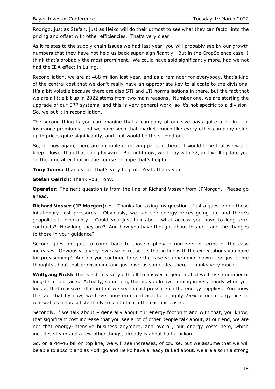Rodrigo, just as Stefan, just as Heiko will do their utmost to see what they can factor into the pricing and offset with other efficiencies. That's very clear.

As it relates to the supply chain issues we had last year, you will probably see by our growth numbers that they have not held us back super-significantly. But in the CropScience case, I think that's probably the most prominent. We could have sold significantly more, had we not had the IDA effect in Luling.

Reconciliation, we are at 488 million last year, and as a reminder for everybody, that's kind of the central cost that we don't really have an appropriate key to allocate to the divisions. It's a bit volatile because there are also STI and LTI normalisations in there, but the fact that we are a little bit up in 2022 stems from two main reasons. Number one, we are starting the upgrade of our ERP systems, and this is very general work, so it's not specific to a division. So, we put it in reconciliation.

The second thing is you can imagine that a company of our size pays quite a bit in – in insurance premiums, and we have seen that market, much like every other company going up in prices quite significantly, and that would be the second one.

So, for now again, there are a couple of moving parts in there. I would hope that we would keep it lower than that going forward. But right now, we'll play with 22, and we'll update you on the time after that in due course. I hope that's helpful.

**Tony Jones:** Thank you. That's very helpful. Yeah, thank you.

**Stefan Oelrich:** Thank you, Tony.

**Operator:** The next question is from the line of Richard Vosser from JPMorgan. Please go ahead.

**Richard Vosser (JP Morgan):** Hi. Thanks for taking my question. Just a question on those inflationary cost pressures. Obviously, we can see energy prices going up, and there's geopolitical uncertainty. Could you just talk about what access you have to long-term contracts? How long they are? And how you have thought about this or – and the changes to those in your guidance?

Second question, just to come back to those Glphosate numbers in terms of the case increases. Obviously, a very low case increase. Is that in line with the expectations you have for provisioning? And do you continue to see the case volume going down? So just some thoughts about that provisioning and just give us some idea there. Thanks very much.

**Wolfgang Nickl:** That's actually very difficult to answer in general, but we have a number of long-term contracts. Actually, something that is, you know, coming in very handy when you look at that massive inflation that we see in cost pressure on the energy supplies. You know the fact that by now, we have long-term contracts for roughly 25% of our energy bills in renewables helps substantially to kind of curb the cost increases.

Secondly, if we talk about – generally about our energy footprint and with that, you know, that significant cost increase that you see a lot of other people talk about, at our end, we are not that energy-intensive business anymore, and overall, our energy costs here, which includes steam and a few other things, already is about half a billion.

So, on a 44-46 billion top line, we will see increases, of course, but we assume that we will be able to absorb and as Rodrigo and Heiko have already talked about, we are also in a strong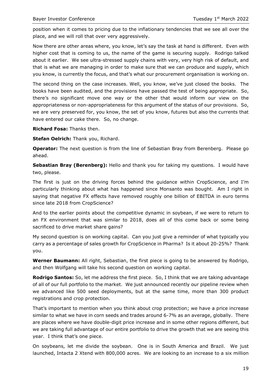position when it comes to pricing due to the inflationary tendencies that we see all over the place, and we will roll that over very aggressively.

Now there are other areas where, you know, let's say the task at hand is different. Even with higher cost that is coming to us, the name of the game is securing supply. Rodrigo talked about it earlier. We see ultra-stressed supply chains with very, very high risk of default, and that is what we are managing in order to make sure that we can produce and supply, which you know, is currently the focus, and that's what our procurement organisation is working on.

The second thing on the case increases. Well, you know, we've just closed the books. The books have been audited, and the provisions have passed the test of being appropriate. So, there's no significant move one way or the other that would inform our view on the appropriateness or non-appropriateness for this argument of the status of our provisions. So, we are very preserved for, you know, the set of you know, futures but also the currents that have entered our cake there. So, no change.

**Richard Fosa:** Thanks then.

**Stefan Oelrich:** Thank you, Richard.

**Operator:** The next question is from the line of Sebastian Bray from Berenberg. Please go ahead.

**Sebastian Bray (Berenberg):** Hello and thank you for taking my questions. I would have two, please.

The first is just on the driving forces behind the guidance within CropScience, and I'm particularly thinking about what has happened since Monsanto was bought. Am I right in saying that negative FX effects have removed roughly one billion of EBITDA in euro terms since late 2018 from CropScience?

And to the earlier points about the competitive dynamic in soybean, if we were to return to an FX environment that was similar to 2018, does all of this come back or some being sacrificed to drive market share gains?

My second question is on working capital. Can you just give a reminder of what typically you carry as a percentage of sales growth for CropScience in Pharma? Is it about 20-25%? Thank you.

**Werner Baumann:** All right, Sebastian, the first piece is going to be answered by Rodrigo, and then Wolfgang will take his second question on working capital.

**Rodrigo Santos:** So, let me address the first piece. So, I think that we are taking advantage of all of our full portfolio to the market. We just announced recently our pipeline review when we advanced like 500 seed deployments, but at the same time, more than 300 product registrations and crop protection.

That's important to mention when you think about crop protection; we have a price increase similar to what we have in corn seeds and trades around 6-7% as an average, globally. There are places where we have double-digit price increase and in some other regions different, but we are taking full advantage of our entire portfolio to drive the growth that we are seeing this year. I think that's one piece.

On soybeans, let me divide the soybean. One is in South America and Brazil. We just launched, Intacta 2 Xtend with 800,000 acres. We are looking to an increase to a six million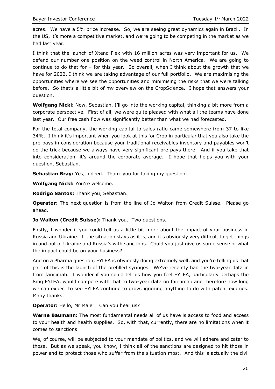acres. We have a 5% price increase. So, we are seeing great dynamics again in Brazil. In the US, it's more a competitive market, and we're going to be competing in the market as we had last year.

I think that the launch of Xtend Flex with 16 million acres was very important for us. We defend our number one position on the weed control in North America. We are going to continue to do that for – for this year. So overall, when I think about the growth that we have for 2022, I think we are taking advantage of our full portfolio. We are maximising the opportunities where we see the opportunities and minimising the risks that we were talking before. So that's a little bit of my overview on the CropScience. I hope that answers your question.

**Wolfgang Nickl:** Now, Sebastian, I'll go into the working capital, thinking a bit more from a corporate perspective. First of all, we were quite pleased with what all the teams have done last year. Our free cash flow was significantly better than what we had forecasted.

For the total company, the working capital to sales ratio came somewhere from 37 to like 34%. I think it's important when you look at this for Crop in particular that you also take the pre-pays in consideration because your traditional receivables inventory and payables won't do the trick because we always have very significant pre-pays there. And if you take that into consideration, it's around the corporate average. I hope that helps you with your question, Sebastian.

**Sebastian Bray:** Yes, indeed. Thank you for taking my question.

**Wolfgang Nickl:** You're welcome.

**Rodrigo Santos:** Thank you, Sebastian.

**Operator:** The next question is from the line of Jo Walton from Credit Suisse. Please go ahead.

**Jo Walton (Credit Suisse):** Thank you. Two questions.

Firstly, I wonder if you could tell us a little bit more about the impact of your business in Russia and Ukraine. If the situation stays as it is, and it's obviously very difficult to get things in and out of Ukraine and Russia's with sanctions. Could you just give us some sense of what the impact could be on your business?

And on a Pharma question, EYLEA is obviously doing extremely well, and you're telling us that part of this is the launch of the prefilled syringes. We've recently had the two-year data in from faricimab. I wonder if you could tell us how you feel EYLEA, particularly perhaps the 8mg EYLEA, would compete with that to two-year data on faricimab and therefore how long we can expect to see EYLEA continue to grow, ignoring anything to do with patent expiries. Many thanks.

**Operator:** Hello, Mr Maier. Can you hear us?

**Werne Baumann:** The most fundamental needs all of us have is access to food and access to your health and health supplies. So, with that, currently, there are no limitations when it comes to sanctions.

We, of course, will be subjected to your mandate of politics, and we will adhere and cater to those. But as we speak, you know, I think all of the sanctions are designed to hit those in power and to protect those who suffer from the situation most. And this is actually the civil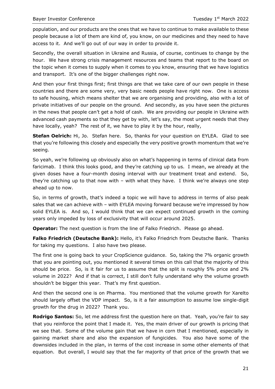population, and our products are the ones that we have to continue to make available to these people because a lot of them are kind of, you know, on our medicines and they need to have access to it. And we'll go out of our way in order to provide it.

Secondly, the overall situation in Ukraine and Russia, of course, continues to change by the hour. We have strong crisis management resources and teams that report to the board on the topic when it comes to supply when it comes to you know, ensuring that we have logistics and transport. It's one of the bigger challenges right now.

And then your first things first; first things are that we take care of our own people in these countries and there are some very, very basic needs people have right now. One is access to safe housing, which means shelter that we are organising and providing, also with a lot of private initiatives of our people on the ground. And secondly, as you have seen the pictures in the news that people can't get a hold of cash. We are providing our people in Ukraine with advanced cash payments so that they get by with, let's say, the most urgent needs that they have locally, yeah? The rest of it, we have to play it by the hour, really,

**Stefan Oelrich:** Hi, Jo. Stefan here. So, thanks for your question on EYLEA. Glad to see that you're following this closely and especially the very positive growth momentum that we're seeing.

So yeah, we're following up obviously also on what's happening in terms of clinical data from faricimab. I think this looks good, and they're catching up to us. I mean, we already at the given doses have a four-month dosing interval with our treatment treat and extend. So, they're catching up to that now with – with what they have. I think we're always one step ahead up to now.

So, in terms of growth, that's indeed a topic we will have to address in terms of also peak sales that we can achieve with – with EYLEA moving forward because we're impressed by how solid EYLEA is. And so, I would think that we can expect continued growth in the coming years only impeded by loss of exclusivity that will occur around 2025.

**Operator:** The next question is from the line of Falko Friedrich. Please go ahead.

**Falko Friedrich (Deutsche Bank):** Hello, it's Falko Friedrich from Deutsche Bank. Thanks for taking my questions. I also have two please.

The first one is going back to your CropScience guidance. So, taking the 7% organic growth that you are pointing out, you mentioned it several times on this call that the majority of this should be price. So, is it fair for us to assume that the split is roughly 5% price and 2% volume in 2022? And if that is correct, I still don't fully understand why the volume growth shouldn't be bigger this year. That's my first question.

And then the second one is on Pharma. You mentioned that the volume growth for Xarelto should largely offset the VDP impact. So, is it a fair assumption to assume low single-digit growth for the drug in 2022? Thank you.

**Rodrigo Santos:** So, let me address first the question here on that. Yeah, you're fair to say that you reinforce the point that I made it. Yes, the main driver of our growth is pricing that we see that. Some of the volume gain that we have in corn that I mentioned, especially in gaining market share and also the expansion of fungicides. You also have some of the downsides included in the plan, in terms of the cost increase in some other elements of that equation. But overall, I would say that the far majority of that price of the growth that we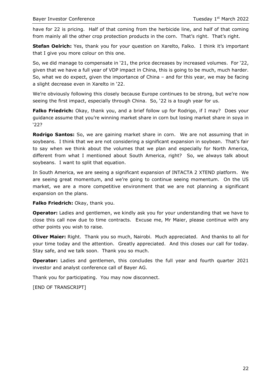have for 22 is pricing. Half of that coming from the herbicide line, and half of that coming from mainly all the other crop protection products in the corn. That's right. That's right.

**Stefan Oelrich:** Yes, thank you for your question on Xarelto, Falko. I think it's important that I give you more colour on this one.

So, we did manage to compensate in '21, the price decreases by increased volumes. For '22, given that we have a full year of VDP impact in China, this is going to be much, much harder. So, what we do expect, given the importance of China – and for this year, we may be facing a slight decrease even in Xarelto in '22.

We're obviously following this closely because Europe continues to be strong, but we're now seeing the first impact, especially through China. So, '22 is a tough year for us.

**Falko Friedrich:** Okay, thank you, and a brief follow up for Rodrigo, if I may? Does your guidance assume that you're winning market share in corn but losing market share in soya in '22?

**Rodrigo Santos:** So, we are gaining market share in corn. We are not assuming that in soybeans. I think that we are not considering a significant expansion in soybean. That's fair to say when we think about the volumes that we plan and especially for North America, different from what I mentioned about South America, right? So, we always talk about soybeans. I want to split that equation.

In South America, we are seeing a significant expansion of INTACTA 2 XTEND platform. We are seeing great momentum, and we're going to continue seeing momentum. On the US market, we are a more competitive environment that we are not planning a significant expansion on the plans.

**Falko Friedrich:** Okay, thank you.

**Operator:** Ladies and gentlemen, we kindly ask you for your understanding that we have to close this call now due to time contracts. Excuse me, Mr Maier, please continue with any other points you wish to raise.

**Oliver Maier:** Right. Thank you so much, Nairobi. Much appreciated. And thanks to all for your time today and the attention. Greatly appreciated. And this closes our call for today. Stay safe, and we talk soon. Thank you so much.

**Operator:** Ladies and gentlemen, this concludes the full year and fourth quarter 2021 investor and analyst conference call of Bayer AG.

Thank you for participating. You may now disconnect.

[END OF TRANSCRIPT]